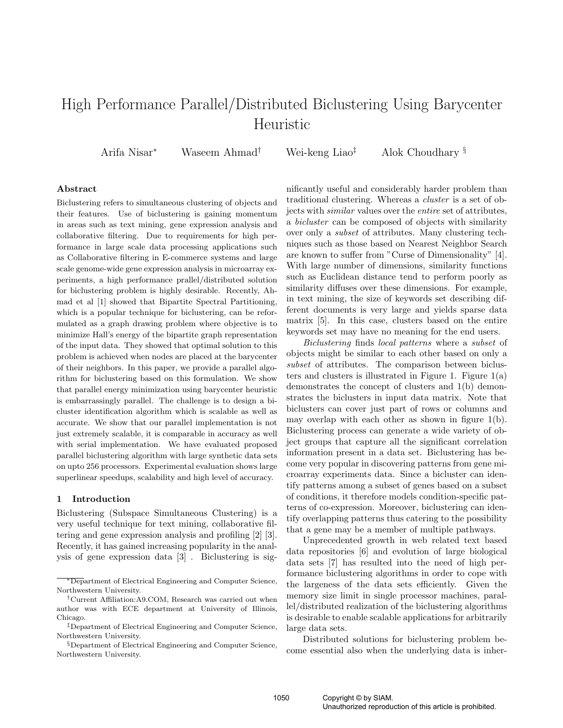# High Performance Parallel/Distributed Biclustering Using Barycenter Heuristic

Arifa Nisar<sup>∗</sup> Waseem Ahmad† Wei-keng Liao‡ Alok Choudhary §

#### Abstract

Biclustering refers to simultaneous clustering of objects and their features. Use of biclustering is gaining momentum in areas such as text mining, gene expression analysis and collaborative filtering. Due to requirements for high performance in large scale data processing applications such as Collaborative filtering in E-commerce systems and large scale genome-wide gene expression analysis in microarray experiments, a high performance prallel/distributed solution for biclustering problem is highly desirable. Recently, Ahmad et al [1] showed that Bipartite Spectral Partitioning, which is a popular technique for biclustering, can be reformulated as a graph drawing problem where objective is to minimize Hall's energy of the bipartite graph representation of the input data. They showed that optimal solution to this problem is achieved when nodes are placed at the barycenter of their neighbors. In this paper, we provide a parallel algorithm for biclustering based on this formulation. We show that parallel energy minimization using barycenter heuristic is embarrassingly parallel. The challenge is to design a bicluster identification algorithm which is scalable as well as accurate. We show that our parallel implementation is not just extremely scalable, it is comparable in accuracy as well with serial implementation. We have evaluated proposed parallel biclustering algorithm with large synthetic data sets on upto 256 processors. Experimental evaluation shows large superlinear speedups, scalability and high level of accuracy.

# 1 Introduction

Biclustering (Subspace Simultaneous Clustering) is a very useful technique for text mining, collaborative filtering and gene expression analysis and profiling [2] [3]. Recently, it has gained increasing popularity in the analysis of gene expression data [3] . Biclustering is sig-

nificantly useful and considerably harder problem than traditional clustering. Whereas a cluster is a set of objects with similar values over the entire set of attributes, a bicluster can be composed of objects with similarity over only a subset of attributes. Many clustering techniques such as those based on Nearest Neighbor Search are known to suffer from "Curse of Dimensionality" [4]. With large number of dimensions, similarity functions such as Euclidean distance tend to perform poorly as similarity diffuses over these dimensions. For example, in text mining, the size of keywords set describing different documents is very large and yields sparse data matrix [5]. In this case, clusters based on the entire keywords set may have no meaning for the end users.

Biclustering finds local patterns where a subset of objects might be similar to each other based on only a subset of attributes. The comparison between biclusters and clusters is illustrated in Figure 1. Figure  $1(a)$ demonstrates the concept of clusters and 1(b) demonstrates the biclusters in input data matrix. Note that biclusters can cover just part of rows or columns and may overlap with each other as shown in figure 1(b). Biclustering process can generate a wide variety of object groups that capture all the significant correlation information present in a data set. Biclustering has become very popular in discovering patterns from gene microarray experiments data. Since a bicluster can identify patterns among a subset of genes based on a subset of conditions, it therefore models condition-specific patterns of co-expression. Moreover, biclustering can identify overlapping patterns thus catering to the possibility that a gene may be a member of multiple pathways.

Unprecedented growth in web related text based data repositories [6] and evolution of large biological data sets [7] has resulted into the need of high performance biclustering algorithms in order to cope with the largeness of the data sets efficiently. Given the memory size limit in single processor machines, parallel/distributed realization of the biclustering algorithms is desirable to enable scalable applications for arbitrarily large data sets.

Distributed solutions for biclustering problem become essential also when the underlying data is inher-

<sup>∗</sup>Department of Electrical Engineering and Computer Science, Northwestern University.

<sup>†</sup>Current Affiliation:A9.COM, Research was carried out when author was with ECE department at University of Illinois, Chicago.

<sup>‡</sup>Department of Electrical Engineering and Computer Science, Northwestern University.

<sup>§</sup>Department of Electrical Engineering and Computer Science, Northwestern University.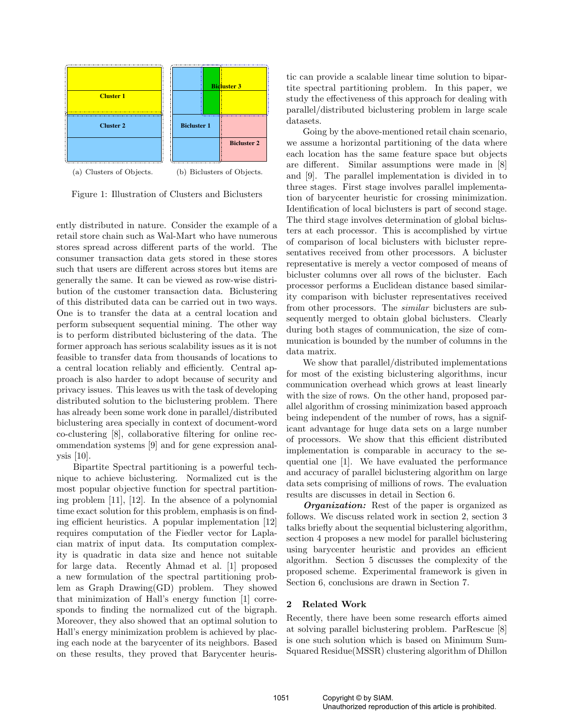

(a) Clusters of Objects. (b) Biclusters of Objects.

Figure 1: Illustration of Clusters and Biclusters

ently distributed in nature. Consider the example of a retail store chain such as Wal-Mart who have numerous stores spread across different parts of the world. The consumer transaction data gets stored in these stores such that users are different across stores but items are generally the same. It can be viewed as row-wise distribution of the customer transaction data. Biclustering of this distributed data can be carried out in two ways. One is to transfer the data at a central location and perform subsequent sequential mining. The other way is to perform distributed biclustering of the data. The former approach has serious scalability issues as it is not feasible to transfer data from thousands of locations to a central location reliably and efficiently. Central approach is also harder to adopt because of security and privacy issues. This leaves us with the task of developing distributed solution to the biclustering problem. There has already been some work done in parallel/distributed biclustering area specially in context of document-word co-clustering [8], collaborative filtering for online recommendation systems [9] and for gene expression analysis [10].

Bipartite Spectral partitioning is a powerful technique to achieve biclustering. Normalized cut is the most popular objective function for spectral partitioning problem [11], [12]. In the absence of a polynomial time exact solution for this problem, emphasis is on finding efficient heuristics. A popular implementation [12] requires computation of the Fiedler vector for Laplacian matrix of input data. Its computation complexity is quadratic in data size and hence not suitable for large data. Recently Ahmad et al. [1] proposed a new formulation of the spectral partitioning problem as Graph Drawing(GD) problem. They showed that minimization of Hall's energy function [1] corresponds to finding the normalized cut of the bigraph. Moreover, they also showed that an optimal solution to Hall's energy minimization problem is achieved by placing each node at the barycenter of its neighbors. Based on these results, they proved that Barycenter heuris-

tic can provide a scalable linear time solution to bipartite spectral partitioning problem. In this paper, we study the effectiveness of this approach for dealing with parallel/distributed biclustering problem in large scale datasets.

Going by the above-mentioned retail chain scenario, we assume a horizontal partitioning of the data where each location has the same feature space but objects are different. Similar assumptions were made in [8] and [9]. The parallel implementation is divided in to three stages. First stage involves parallel implementation of barycenter heuristic for crossing minimization. Identification of local biclusters is part of second stage. The third stage involves determination of global biclusters at each processor. This is accomplished by virtue of comparison of local biclusters with bicluster representatives received from other processors. A bicluster representative is merely a vector composed of means of bicluster columns over all rows of the bicluster. Each processor performs a Euclidean distance based similarity comparison with bicluster representatives received from other processors. The *similar* biclusters are subsequently merged to obtain global biclusters. Clearly during both stages of communication, the size of communication is bounded by the number of columns in the data matrix.

We show that parallel/distributed implementations for most of the existing biclustering algorithms, incur communication overhead which grows at least linearly with the size of rows. On the other hand, proposed parallel algorithm of crossing minimization based approach being independent of the number of rows, has a significant advantage for huge data sets on a large number of processors. We show that this efficient distributed implementation is comparable in accuracy to the sequential one [1]. We have evaluated the performance and accuracy of parallel biclustering algorithm on large data sets comprising of millions of rows. The evaluation results are discusses in detail in Section 6.

Organization: Rest of the paper is organized as follows. We discuss related work in section 2, section 3 talks briefly about the sequential biclustering algorithm, section 4 proposes a new model for parallel biclustering using barycenter heuristic and provides an efficient algorithm. Section 5 discusses the complexity of the proposed scheme. Experimental framework is given in Section 6, conclusions are drawn in Section 7.

# 2 Related Work

Recently, there have been some research efforts aimed at solving parallel biclustering problem. ParRescue [8] is one such solution which is based on Minimum Sum-Squared Residue(MSSR) clustering algorithm of Dhillon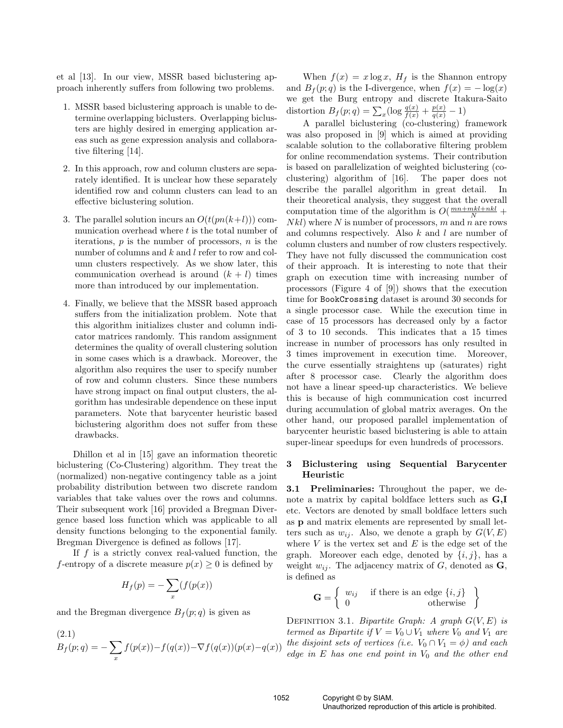et al [13]. In our view, MSSR based biclustering approach inherently suffers from following two problems.

- 1. MSSR based biclustering approach is unable to determine overlapping biclusters. Overlapping biclusters are highly desired in emerging application areas such as gene expression analysis and collaborative filtering [14].
- 2. In this approach, row and column clusters are separately identified. It is unclear how these separately identified row and column clusters can lead to an effective biclustering solution.
- 3. The parallel solution incurs an  $O(t(pn(k+l)))$  communication overhead where  $t$  is the total number of iterations,  $p$  is the number of processors,  $n$  is the number of columns and  $k$  and  $l$  refer to row and column clusters respectively. As we show later, this communication overhead is around  $(k + l)$  times more than introduced by our implementation.
- 4. Finally, we believe that the MSSR based approach suffers from the initialization problem. Note that this algorithm initializes cluster and column indicator matrices randomly. This random assignment determines the quality of overall clustering solution in some cases which is a drawback. Moreover, the algorithm also requires the user to specify number of row and column clusters. Since these numbers have strong impact on final output clusters, the algorithm has undesirable dependence on these input parameters. Note that barycenter heuristic based biclustering algorithm does not suffer from these drawbacks.

Dhillon et al in [15] gave an information theoretic biclustering (Co-Clustering) algorithm. They treat the (normalized) non-negative contingency table as a joint probability distribution between two discrete random variables that take values over the rows and columns. Their subsequent work [16] provided a Bregman Divergence based loss function which was applicable to all density functions belonging to the exponential family. Bregman Divergence is defined as follows [17].

If  $f$  is a strictly convex real-valued function, the f-entropy of a discrete measure  $p(x) \geq 0$  is defined by

$$
H_f(p) = -\sum_x (f(p(x))
$$

and the Bregman divergence  $B_f(p;q)$  is given as

(2.1)  

$$
B_f(p;q) = -\sum_x f(p(x)) - f(q(x)) - \nabla f(q(x))(p(x) - q(x))
$$

When  $f(x) = x \log x$ ,  $H_f$  is the Shannon entropy and  $B_f(p; q)$  is the I-divergence, when  $f(x) = -\log(x)$ we get the Burg entropy and discrete Itakura-Saito distortion  $B_f(p;q) = \sum_x (\log \frac{q(x)}{f(x)} + \frac{p(x)}{q(x)} - 1)$ 

A parallel biclustering (co-clustering) framework was also proposed in [9] which is aimed at providing scalable solution to the collaborative filtering problem for online recommendation systems. Their contribution is based on parallelization of weighted biclustering (coclustering) algorithm of [16]. The paper does not describe the parallel algorithm in great detail. In their theoretical analysis, they suggest that the overall computation time of the algorithm is  $O(\frac{mn+mkl+nkl}{N} +$  $Nkl$ ) where N is number of processors, m and n are rows and columns respectively. Also  $k$  and  $l$  are number of column clusters and number of row clusters respectively. They have not fully discussed the communication cost of their approach. It is interesting to note that their graph on execution time with increasing number of processors (Figure 4 of [9]) shows that the execution time for BookCrossing dataset is around 30 seconds for a single processor case. While the execution time in case of 15 processors has decreased only by a factor of 3 to 10 seconds. This indicates that a 15 times increase in number of processors has only resulted in 3 times improvement in execution time. Moreover, the curve essentially straightens up (saturates) right after 8 processor case. Clearly the algorithm does not have a linear speed-up characteristics. We believe this is because of high communication cost incurred during accumulation of global matrix averages. On the other hand, our proposed parallel implementation of barycenter heuristic based biclustering is able to attain super-linear speedups for even hundreds of processors.

# 3 Biclustering using Sequential Barycenter Heuristic

3.1 Preliminaries: Throughout the paper, we denote a matrix by capital boldface letters such as G,I etc. Vectors are denoted by small boldface letters such as p and matrix elements are represented by small letters such as  $w_{ij}$ . Also, we denote a graph by  $G(V, E)$ where  $V$  is the vertex set and  $E$  is the edge set of the graph. Moreover each edge, denoted by  $\{i, j\}$ , has a weight  $w_{ij}$ . The adjacency matrix of G, denoted as G, is defined as

$$
\mathbf{G} = \left\{ \begin{array}{ll} w_{ij} & \text{if there is an edge } \{i, j\} \\ 0 & \text{otherwise} \end{array} \right\}
$$

DEFINITION 3.1. Bipartite Graph: A graph  $G(V, E)$  is termed as Bipartite if  $V = V_0 \cup V_1$  where  $V_0$  and  $V_1$  are the disjoint sets of vertices (i.e.  $V_0 \cap V_1 = \phi$ ) and each edge in  $E$  has one end point in  $V_0$  and the other end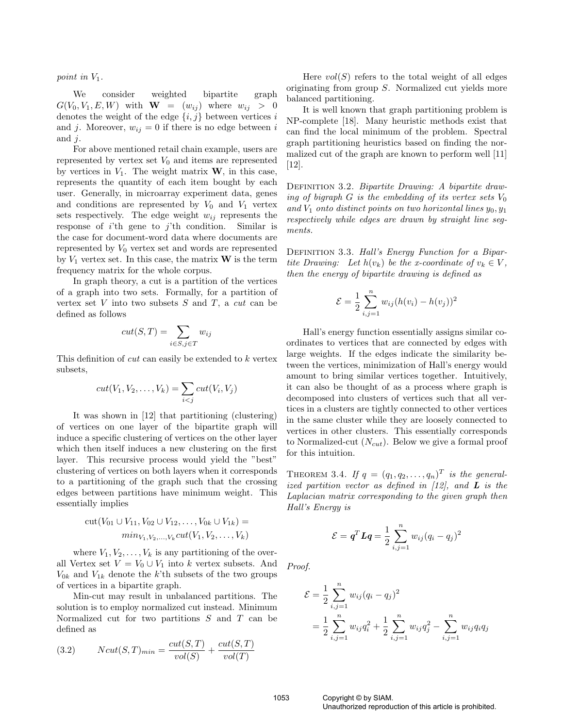point in  $V_1$ .

We consider weighted bipartite graph  $G(V_0, V_1, E, W)$  with  $\mathbf{W} = (w_{ij})$  where  $w_{ij} > 0$ denotes the weight of the edge  $\{i, j\}$  between vertices i and j. Moreover,  $w_{ij} = 0$  if there is no edge between i and  $i$ .

For above mentioned retail chain example, users are represented by vertex set  $V_0$  and items are represented by vertices in  $V_1$ . The weight matrix **W**, in this case, represents the quantity of each item bought by each user. Generally, in microarray experiment data, genes and conditions are represented by  $V_0$  and  $V_1$  vertex sets respectively. The edge weight  $w_{ij}$  represents the response of  $i$ 'th gene to  $j$ 'th condition. Similar is the case for document-word data where documents are represented by  $V_0$  vertex set and words are represented by  $V_1$  vertex set. In this case, the matrix **W** is the term frequency matrix for the whole corpus.

In graph theory, a cut is a partition of the vertices of a graph into two sets. Formally, for a partition of vertex set  $V$  into two subsets  $S$  and  $T$ , a cut can be defined as follows

$$
cut(S, T) = \sum_{i \in S, j \in T} w_{ij}
$$

This definition of cut can easily be extended to k vertex subsets,

$$
cut(V_1, V_2, \ldots, V_k) = \sum_{i < j} cut(V_i, V_j)
$$

It was shown in [12] that partitioning (clustering) of vertices on one layer of the bipartite graph will induce a specific clustering of vertices on the other layer which then itself induces a new clustering on the first layer. This recursive process would yield the "best" clustering of vertices on both layers when it corresponds to a partitioning of the graph such that the crossing edges between partitions have minimum weight. This essentially implies

$$
cut(V_{01} \cup V_{11}, V_{02} \cup V_{12}, \dots, V_{0k} \cup V_{1k}) =
$$
  

$$
min_{V_1, V_2, \dots, V_k} cut(V_1, V_2, \dots, V_k)
$$

where  $V_1, V_2, \ldots, V_k$  is any partitioning of the overall Vertex set  $V = V_0 \cup V_1$  into k vertex subsets. And  $V_{0k}$  and  $V_{1k}$  denote the k'th subsets of the two groups of vertices in a bipartite graph.

Min-cut may result in unbalanced partitions. The solution is to employ normalized cut instead. Minimum Normalized cut for two partitions S and T can be defined as

(3.2) 
$$
Ncut(S,T)_{min} = \frac{cut(S,T)}{vol(S)} + \frac{cut(S,T)}{vol(T)}
$$

Here  $vol(S)$  refers to the total weight of all edges originating from group S. Normalized cut yields more balanced partitioning.

It is well known that graph partitioning problem is NP-complete [18]. Many heuristic methods exist that can find the local minimum of the problem. Spectral graph partitioning heuristics based on finding the normalized cut of the graph are known to perform well [11] [12].

DEFINITION 3.2. Bipartite Drawing: A bipartite drawing of bigraph  $G$  is the embedding of its vertex sets  $V_0$ and  $V_1$  onto distinct points on two horizontal lines  $y_0, y_1$ respectively while edges are drawn by straight line segments.

DEFINITION 3.3. Hall's Energy Function for a Bipartite Drawing: Let  $h(v_k)$  be the x-coordinate of  $v_k \in V$ , then the energy of bipartite drawing is defined as

$$
\mathcal{E} = \frac{1}{2} \sum_{i,j=1}^{n} w_{ij} (h(v_i) - h(v_j))^2
$$

Hall's energy function essentially assigns similar coordinates to vertices that are connected by edges with large weights. If the edges indicate the similarity between the vertices, minimization of Hall's energy would amount to bring similar vertices together. Intuitively, it can also be thought of as a process where graph is decomposed into clusters of vertices such that all vertices in a clusters are tightly connected to other vertices in the same cluster while they are loosely connected to vertices in other clusters. This essentially corresponds to Normalized-cut  $(N_{cut})$ . Below we give a formal proof for this intuition.

THEOREM 3.4. If  $q = (q_1, q_2, \ldots, q_n)^T$  is the generalized partition vector as defined in  $(12)$ , and **L** is the Laplacian matrix corresponding to the given graph then Hall's Energy is

$$
\mathcal{E} = \boldsymbol{q}^T \boldsymbol{L} \boldsymbol{q} = \frac{1}{2} \sum_{i,j=1}^n w_{ij} (q_i - q_j)^2
$$

Proof.

$$
\mathcal{E} = \frac{1}{2} \sum_{i,j=1}^{n} w_{ij} (q_i - q_j)^2
$$
  
=  $\frac{1}{2} \sum_{i,j=1}^{n} w_{ij} q_i^2 + \frac{1}{2} \sum_{i,j=1}^{n} w_{ij} q_j^2 - \sum_{i,j=1}^{n} w_{ij} q_i q_j$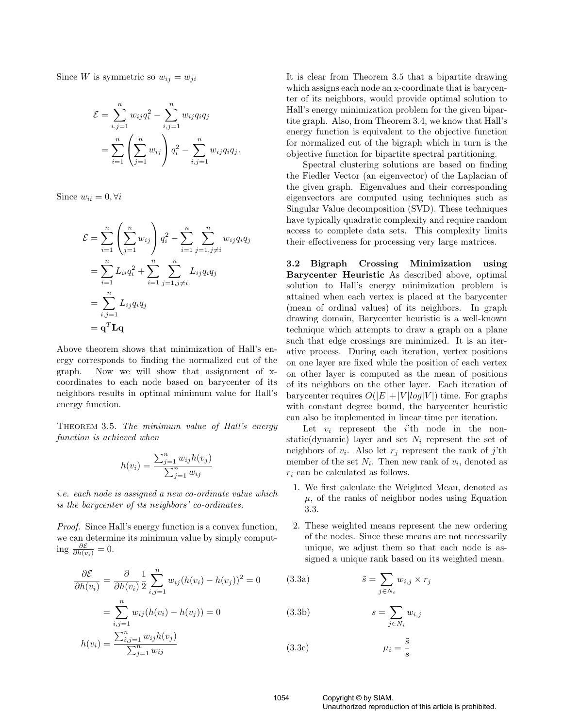Since W is symmetric so  $w_{ij} = w_{ji}$ 

$$
\mathcal{E} = \sum_{i,j=1}^{n} w_{ij} q_i^2 - \sum_{i,j=1}^{n} w_{ij} q_i q_j
$$
  
= 
$$
\sum_{i=1}^{n} \left( \sum_{j=1}^{n} w_{ij} \right) q_i^2 - \sum_{i,j=1}^{n} w_{ij} q_i q_j.
$$

Since  $w_{ii} = 0, \forall i$ 

$$
\mathcal{E} = \sum_{i=1}^{n} \left( \sum_{j=1}^{n} w_{ij} \right) q_i^2 - \sum_{i=1}^{n} \sum_{j=1, j \neq i}^{n} w_{ij} q_i q_j
$$
  
= 
$$
\sum_{i=1}^{n} L_{ii} q_i^2 + \sum_{i=1}^{n} \sum_{j=1, j \neq i}^{n} L_{ij} q_i q_j
$$
  
= 
$$
\sum_{i,j=1}^{n} L_{ij} q_i q_j
$$
  
= 
$$
\mathbf{q}^T \mathbf{L} \mathbf{q}
$$

Above theorem shows that minimization of Hall's energy corresponds to finding the normalized cut of the graph. Now we will show that assignment of xcoordinates to each node based on barycenter of its neighbors results in optimal minimum value for Hall's energy function.

THEOREM 3.5. The minimum value of Hall's energy function is achieved when

$$
h(v_i) = \frac{\sum_{j=1}^{n} w_{ij} h(v_j)}{\sum_{j=1}^{n} w_{ij}}
$$

i.e. each node is assigned a new co-ordinate value which is the barycenter of its neighbors' co-ordinates.

Proof. Since Hall's energy function is a convex function, we can determine its minimum value by simply computing  $\frac{\partial \mathcal{E}}{\partial h(v_i)} = 0.$ 

$$
\frac{\partial \mathcal{E}}{\partial h(v_i)} = \frac{\partial}{\partial h(v_i)} \frac{1}{2} \sum_{i,j=1}^n w_{ij} (h(v_i) - h(v_j))^2 = 0
$$

$$
= \sum_{i,j=1}^n w_{ij} (h(v_i) - h(v_j)) = 0
$$

$$
h(v_i) = \frac{\sum_{i,j=1}^n w_{ij} h(v_j)}{\sum_{j=1}^n w_{ij}}
$$

It is clear from Theorem 3.5 that a bipartite drawing which assigns each node an x-coordinate that is barycenter of its neighbors, would provide optimal solution to Hall's energy minimization problem for the given bipartite graph. Also, from Theorem 3.4, we know that Hall's energy function is equivalent to the objective function for normalized cut of the bigraph which in turn is the objective function for bipartite spectral partitioning.

Spectral clustering solutions are based on finding the Fiedler Vector (an eigenvector) of the Laplacian of the given graph. Eigenvalues and their corresponding eigenvectors are computed using techniques such as Singular Value decomposition (SVD). These techniques have typically quadratic complexity and require random access to complete data sets. This complexity limits their effectiveness for processing very large matrices.

3.2 Bigraph Crossing Minimization using Barycenter Heuristic As described above, optimal solution to Hall's energy minimization problem is attained when each vertex is placed at the barycenter (mean of ordinal values) of its neighbors. In graph drawing domain, Barycenter heuristic is a well-known technique which attempts to draw a graph on a plane such that edge crossings are minimized. It is an iterative process. During each iteration, vertex positions on one layer are fixed while the position of each vertex on other layer is computed as the mean of positions of its neighbors on the other layer. Each iteration of barycenter requires  $O(|E|+|V|log|V|)$  time. For graphs with constant degree bound, the barycenter heuristic can also be implemented in linear time per iteration.

Let  $v_i$  represent the *i*'th node in the nonstatic(dynamic) layer and set  $N_i$  represent the set of neighbors of  $v_i$ . Also let  $r_j$  represent the rank of j'th member of the set  $N_i$ . Then new rank of  $v_i$ , denoted as  $r_i$  can be calculated as follows.

- 1. We first calculate the Weighted Mean, denoted as  $\mu$ , of the ranks of neighbor nodes using Equation 3.3.
- 2. These weighted means represent the new ordering of the nodes. Since these means are not necessarily unique, we adjust them so that each node is assigned a unique rank based on its weighted mean.

(3.3a) 
$$
\tilde{s} = \sum_{j \in N_i} w_{i,j} \times r_j
$$

(3.3b) 
$$
s = \sum_{j \in N_i} w_{i,j}
$$

$$
\mu_i = \frac{\tilde{s}}{s}
$$

#### 1054 Copyright © by SIAM. Unauthorized reproduction of this article is prohibited.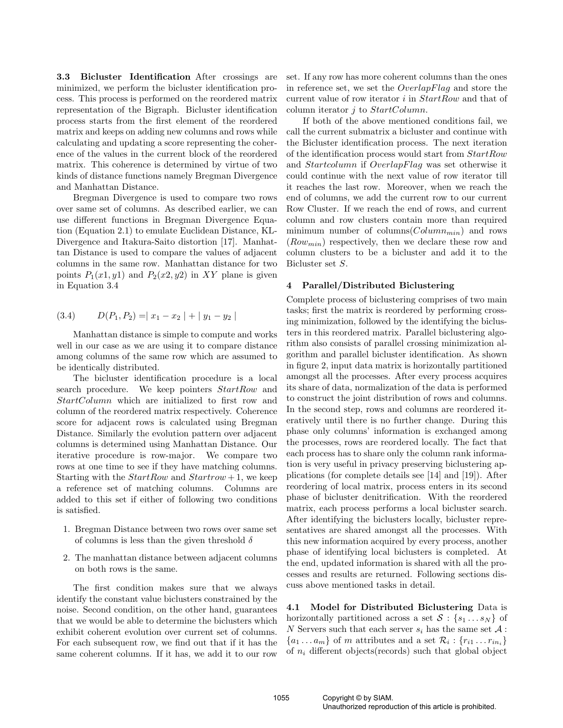3.3 Bicluster Identification After crossings are minimized, we perform the bicluster identification process. This process is performed on the reordered matrix representation of the Bigraph. Bicluster identification process starts from the first element of the reordered matrix and keeps on adding new columns and rows while calculating and updating a score representing the coherence of the values in the current block of the reordered matrix. This coherence is determined by virtue of two kinds of distance functions namely Bregman Divergence and Manhattan Distance.

Bregman Divergence is used to compare two rows over same set of columns. As described earlier, we can use different functions in Bregman Divergence Equation (Equation 2.1) to emulate Euclidean Distance, KL-Divergence and Itakura-Saito distortion [17]. Manhattan Distance is used to compare the values of adjacent columns in the same row. Manhattan distance for two points  $P_1(x1, y1)$  and  $P_2(x2, y2)$  in XY plane is given in Equation 3.4

$$
(3.4) \qquad D(P_1, P_2) = |x_1 - x_2| + |y_1 - y_2|
$$

Manhattan distance is simple to compute and works well in our case as we are using it to compare distance among columns of the same row which are assumed to be identically distributed.

The bicluster identification procedure is a local search procedure. We keep pointers  $StartRow$  and StartColumn which are initialized to first row and column of the reordered matrix respectively. Coherence score for adjacent rows is calculated using Bregman Distance. Similarly the evolution pattern over adjacent columns is determined using Manhattan Distance. Our iterative procedure is row-major. We compare two rows at one time to see if they have matching columns. Starting with the  $StartRow$  and  $Startrow + 1$ , we keep a reference set of matching columns. Columns are added to this set if either of following two conditions is satisfied.

- 1. Bregman Distance between two rows over same set of columns is less than the given threshold  $\delta$
- 2. The manhattan distance between adjacent columns on both rows is the same.

The first condition makes sure that we always identify the constant value biclusters constrained by the noise. Second condition, on the other hand, guarantees that we would be able to determine the biclusters which exhibit coherent evolution over current set of columns. For each subsequent row, we find out that if it has the same coherent columns. If it has, we add it to our row

set. If any row has more coherent columns than the ones in reference set, we set the OverlapFlag and store the current value of row iterator i in StartRow and that of column iterator  $j$  to  $StartColumn$ .

If both of the above mentioned conditions fail, we call the current submatrix a bicluster and continue with the Bicluster identification process. The next iteration of the identification process would start from StartRow and Startcolumn if OverlapFlag was set otherwise it could continue with the next value of row iterator till it reaches the last row. Moreover, when we reach the end of columns, we add the current row to our current Row Cluster. If we reach the end of rows, and current column and row clusters contain more than required minimum number of columns  $(Column_{min})$  and rows  $(Row_{min})$  respectively, then we declare these row and column clusters to be a bicluster and add it to the Bicluster set S.

# 4 Parallel/Distributed Biclustering

Complete process of biclustering comprises of two main tasks; first the matrix is reordered by performing crossing minimization, followed by the identifying the biclusters in this reordered matrix. Parallel biclustering algorithm also consists of parallel crossing minimization algorithm and parallel bicluster identification. As shown in figure 2, input data matrix is horizontally partitioned amongst all the processes. After every process acquires its share of data, normalization of the data is performed to construct the joint distribution of rows and columns. In the second step, rows and columns are reordered iteratively until there is no further change. During this phase only columns' information is exchanged among the processes, rows are reordered locally. The fact that each process has to share only the column rank information is very useful in privacy preserving biclustering applications (for complete details see [14] and [19]). After reordering of local matrix, process enters in its second phase of bicluster denitrification. With the reordered matrix, each process performs a local bicluster search. After identifying the biclusters locally, bicluster representatives are shared amongst all the processes. With this new information acquired by every process, another phase of identifying local biclusters is completed. At the end, updated information is shared with all the processes and results are returned. Following sections discuss above mentioned tasks in detail.

4.1 Model for Distributed Biclustering Data is horizontally partitioned across a set  $S: \{s_1 \dots s_N\}$  of  $N$  Servers such that each server  $s_i$  has the same set  $\mathcal A$  :  $\{a_1 \ldots a_m\}$  of m attributes and a set  $\mathcal{R}_i$  :  $\{r_{i1} \ldots r_{in_i}\}$ of  $n_i$  different objects(records) such that global object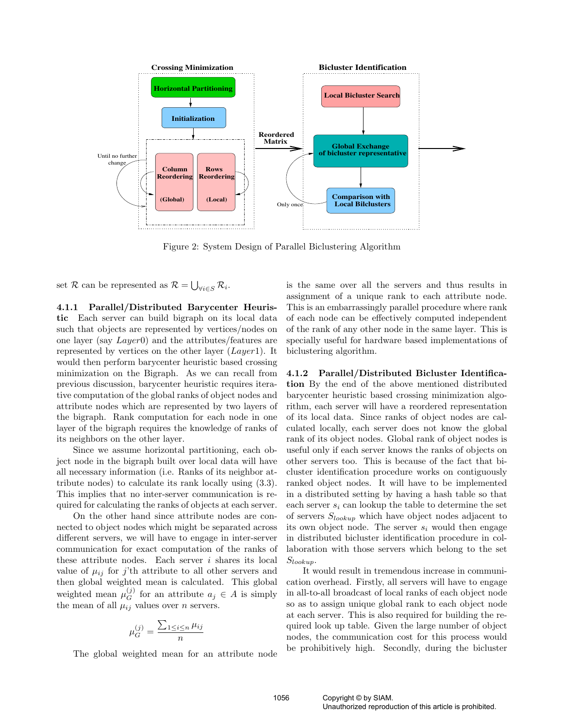

Figure 2: System Design of Parallel Biclustering Algorithm

set R can be represented as  $\mathcal{R} = \bigcup_{\forall i \in S} \mathcal{R}_i$ .

4.1.1 Parallel/Distributed Barycenter Heuristic Each server can build bigraph on its local data such that objects are represented by vertices/nodes on one layer (say Layer0) and the attributes/features are represented by vertices on the other layer (Layer1). It would then perform barycenter heuristic based crossing minimization on the Bigraph. As we can recall from previous discussion, barycenter heuristic requires iterative computation of the global ranks of object nodes and attribute nodes which are represented by two layers of the bigraph. Rank computation for each node in one layer of the bigraph requires the knowledge of ranks of its neighbors on the other layer.

Since we assume horizontal partitioning, each object node in the bigraph built over local data will have all necessary information (i.e. Ranks of its neighbor attribute nodes) to calculate its rank locally using (3.3). This implies that no inter-server communication is required for calculating the ranks of objects at each server.

On the other hand since attribute nodes are connected to object nodes which might be separated across different servers, we will have to engage in inter-server communication for exact computation of the ranks of these attribute nodes. Each server  $i$  shares its local value of  $\mu_{ij}$  for j'th attribute to all other servers and then global weighted mean is calculated. This global weighted mean  $\mu_G^{(j)}$  for an attribute  $a_j \in A$  is simply the mean of all  $\mu_{ij}$  values over *n* servers.

$$
\mu_G^{(j)} = \frac{\sum_{1 \le i \le n} \mu_{ij}}{n}
$$

The global weighted mean for an attribute node

is the same over all the servers and thus results in assignment of a unique rank to each attribute node. This is an embarrassingly parallel procedure where rank of each node can be effectively computed independent of the rank of any other node in the same layer. This is specially useful for hardware based implementations of biclustering algorithm.

4.1.2 Parallel/Distributed Bicluster Identification By the end of the above mentioned distributed barycenter heuristic based crossing minimization algorithm, each server will have a reordered representation of its local data. Since ranks of object nodes are calculated locally, each server does not know the global rank of its object nodes. Global rank of object nodes is useful only if each server knows the ranks of objects on other servers too. This is because of the fact that bicluster identification procedure works on contiguously ranked object nodes. It will have to be implemented in a distributed setting by having a hash table so that each server  $s_i$  can lookup the table to determine the set of servers  $S_{lookup}$  which have object nodes adjacent to its own object node. The server  $s_i$  would then engage in distributed bicluster identification procedure in collaboration with those servers which belong to the set Slookup.

It would result in tremendous increase in communication overhead. Firstly, all servers will have to engage in all-to-all broadcast of local ranks of each object node so as to assign unique global rank to each object node at each server. This is also required for building the required look up table. Given the large number of object nodes, the communication cost for this process would be prohibitively high. Secondly, during the bicluster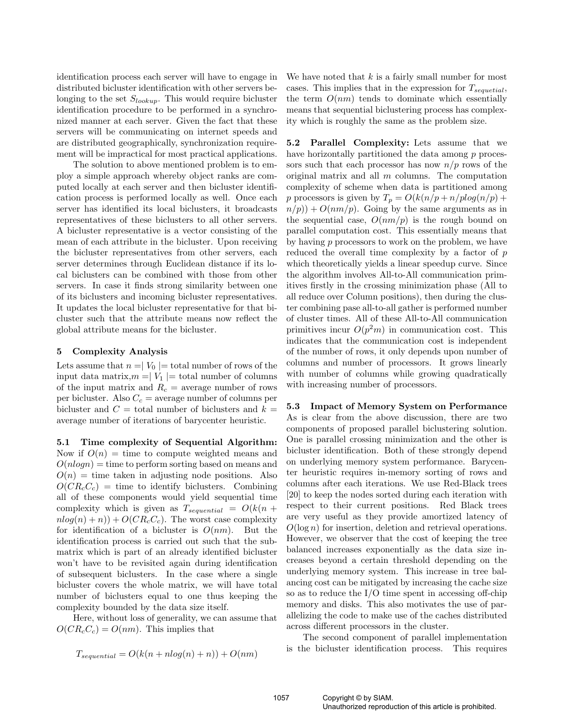identification process each server will have to engage in distributed bicluster identification with other servers belonging to the set  $S_{lookup}$ . This would require bicluster identification procedure to be performed in a synchronized manner at each server. Given the fact that these servers will be communicating on internet speeds and are distributed geographically, synchronization requirement will be impractical for most practical applications.

The solution to above mentioned problem is to employ a simple approach whereby object ranks are computed locally at each server and then bicluster identification process is performed locally as well. Once each server has identified its local biclusters, it broadcasts representatives of these biclusters to all other servers. A bicluster representative is a vector consisting of the mean of each attribute in the bicluster. Upon receiving the bicluster representatives from other servers, each server determines through Euclidean distance if its local biclusters can be combined with those from other servers. In case it finds strong similarity between one of its biclusters and incoming bicluster representatives. It updates the local bicluster representative for that bicluster such that the attribute means now reflect the global attribute means for the bicluster.

#### 5 Complexity Analysis

Lets assume that  $n = |V_0|$  = total number of rows of the input data matrix, $m = |V_1|$  = total number of columns of the input matrix and  $R_c$  = average number of rows per bicluster. Also  $C_c$  = average number of columns per bicluster and  $C =$  total number of biclusters and  $k =$ average number of iterations of barycenter heuristic.

5.1 Time complexity of Sequential Algorithm: Now if  $O(n) =$  time to compute weighted means and  $O(nlog n)$  = time to perform sorting based on means and  $O(n)$  = time taken in adjusting node positions. Also  $O(CR_cC_c)$  = time to identify biclusters. Combining all of these components would yield sequential time complexity which is given as  $T_{sequential} = O(k(n +$  $nlog(n) + n) + O(CR_cC_c)$ . The worst case complexity for identification of a bicluster is  $O(nm)$ . But the identification process is carried out such that the submatrix which is part of an already identified bicluster won't have to be revisited again during identification of subsequent biclusters. In the case where a single bicluster covers the whole matrix, we will have total number of biclusters equal to one thus keeping the complexity bounded by the data size itself.

Here, without loss of generality, we can assume that  $O(CR_cC_c) = O(nm)$ . This implies that

$$
T_{sequential} = O(k(n + nlog(n) + n)) + O(nm)
$$

We have noted that  $k$  is a fairly small number for most cases. This implies that in the expression for  $T_{sequetial}$ , the term  $O(nm)$  tends to dominate which essentially means that sequential biclustering process has complexity which is roughly the same as the problem size.

5.2 Parallel Complexity: Lets assume that we have horizontally partitioned the data among p processors such that each processor has now  $n/p$  rows of the original matrix and all  $m$  columns. The computation complexity of scheme when data is partitioned among p processors is given by  $T_p = O(k(n/p + n/plog(n/p) +$  $n(p)$ ) +  $O(nm/p)$ . Going by the same arguments as in the sequential case,  $O(nm/p)$  is the rough bound on parallel computation cost. This essentially means that by having  $p$  processors to work on the problem, we have reduced the overall time complexity by a factor of  $p$ which theoretically yields a linear speedup curve. Since the algorithm involves All-to-All communication primitives firstly in the crossing minimization phase (All to all reduce over Column positions), then during the cluster combining pase all-to-all gather is performed number of cluster times. All of these All-to-All communication primitives incur  $O(p^2m)$  in communication cost. This indicates that the communication cost is independent of the number of rows, it only depends upon number of columns and number of processors. It grows linearly with number of columns while growing quadratically with increasing number of processors.

5.3 Impact of Memory System on Performance As is clear from the above discussion, there are two components of proposed parallel biclustering solution. One is parallel crossing minimization and the other is bicluster identification. Both of these strongly depend on underlying memory system performance. Barycenter heuristic requires in-memory sorting of rows and columns after each iterations. We use Red-Black trees [20] to keep the nodes sorted during each iteration with respect to their current positions. Red Black trees are very useful as they provide amortized latency of  $O(\log n)$  for insertion, deletion and retrieval operations. However, we observer that the cost of keeping the tree balanced increases exponentially as the data size increases beyond a certain threshold depending on the underlying memory system. This increase in tree balancing cost can be mitigated by increasing the cache size so as to reduce the I/O time spent in accessing off-chip memory and disks. This also motivates the use of parallelizing the code to make use of the caches distributed across different processors in the cluster.

The second component of parallel implementation is the bicluster identification process. This requires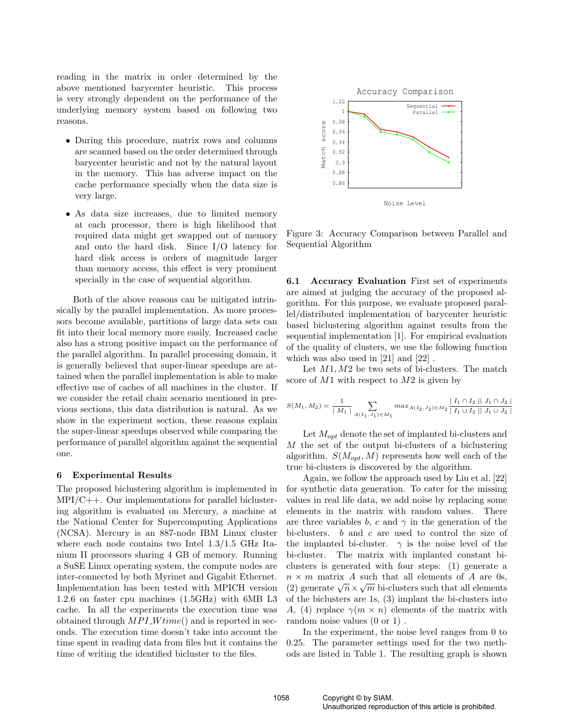reading in the matrix in order determined by the above mentioned barycenter heuristic. This process is very strongly dependent on the performance of the underlying memory system based on following two reasons.

- During this procedure, matrix rows and columns are scanned based on the order determined through barycenter heuristic and not by the natural layout in the memory. This has adverse impact on the cache performance specially when the data size is very large.
- As data size increases, due to limited memory at each processor, there is high likelihood that required data might get swapped out of memory and onto the hard disk. Since I/O latency for hard disk access is orders of magnitude larger than memory access, this effect is very prominent specially in the case of sequential algorithm.

Both of the above reasons can be mitigated intrinsically by the parallel implementation. As more processors become available, partitions of large data sets can fit into their local memory more easily. Increased cache also has a strong positive impact on the performance of the parallel algorithm. In parallel processing domain, it is generally believed that super-linear speedups are attained when the parallel implementation is able to make effective use of caches of all machines in the cluster. If we consider the retail chain scenario mentioned in previous sections, this data distribution is natural. As we show in the experiment section, these reasons explain the super-linear speedups observed while comparing the performance of parallel algorithm against the sequential one.

## 6 Experimental Results

The proposed biclustering algorithm is implemented in MPI/C++. Our implementations for parallel biclustering algorithm is evaluated on Mercury, a machine at the National Center for Supercomputing Applications (NCSA). Mercury is an 887-node IBM Linux cluster where each node contains two Intel 1.3/1.5 GHz Itanium II processors sharing 4 GB of memory. Running a SuSE Linux operating system, the compute nodes are inter-connected by both Myrinet and Gigabit Ethernet. Implementation has been tested with MPICH version 1.2.6 on faster cpu machines (1.5GHz) with 6MB L3 cache. In all the experiments the execution time was obtained through  $MPI\_W time()$  and is reported in seconds. The execution time doesn't take into account the time spent in reading data from files but it contains the time of writing the identified bicluster to the files.



Figure 3: Accuracy Comparison between Parallel and Sequential Algorithm

6.1 Accuracy Evaluation First set of experiments are aimed at judging the accuracy of the proposed algorithm. For this purpose, we evaluate proposed parallel/distributed implementation of barycenter heuristic based biclustering algorithm against results from the sequential implementation [1]. For empirical evaluation of the quality of clusters, we use the following function which was also used in [21] and [22] .

Let  $M1, M2$  be two sets of bi-clusters. The match score of  $M1$  with respect to  $M2$  is given by

$$
S(M_1,M_2) = \frac{1}{\mid M_1 \mid} \sum_{A(I_1,J_1) \in M_1} max_{A(I_2,J_2) \in M_2} \frac{\mid I_1 \cap I_2 \mid \mid J_1 \cap J_2 \mid}{\mid I_1 \cup I_2 \mid \mid J_1 \cup J_2 \mid}
$$

Let  $M_{opt}$  denote the set of implanted bi-clusters and M the set of the output bi-clusters of a biclustering algorithm.  $S(M_{opt}, M)$  represents how well each of the true bi-clusters is discovered by the algorithm.

Again, we follow the approach used by Liu et al. [22] for synthetic data generation. To cater for the missing values in real life data, we add noise by replacing some elements in the matrix with random values. There are three variables b, c and  $\gamma$  in the generation of the bi-clusters.  $b$  and  $c$  are used to control the size of the implanted bi-cluster.  $\gamma$  is the noise level of the bi-cluster. The matrix with implanted constant biclusters is generated with four steps: (1) generate a  $n \times m$  matrix A such that all elements of A are 0s,  $n \times m$  matrix A such that an elements of A are os,<br>(2) generate  $\sqrt{n} \times \sqrt{m}$  bi-clusters such that all elements of the biclusters are 1s, (3) implant the bi-clusters into A, (4) replace  $\gamma(m \times n)$  elements of the matrix with random noise values (0 or 1) .

In the experiment, the noise level ranges from 0 to 0.25. The parameter settings used for the two methods are listed in Table 1. The resulting graph is shown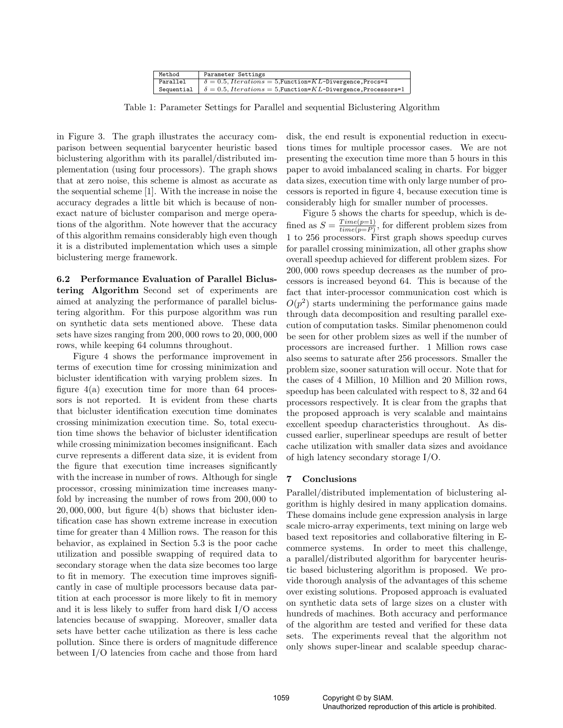| Method   | Parameter Settings                                                                  |
|----------|-------------------------------------------------------------------------------------|
| Parallel | $\delta = 0.5, Iterations = 5$ , Function=KL-Divergence, Procs=4                    |
|          | Sequential $\delta = 0.5$ , $Iterations = 5$ , Function=KL-Divergence, Processors=1 |

Table 1: Parameter Settings for Parallel and sequential Biclustering Algorithm

in Figure 3. The graph illustrates the accuracy comparison between sequential barycenter heuristic based biclustering algorithm with its parallel/distributed implementation (using four processors). The graph shows that at zero noise, this scheme is almost as accurate as the sequential scheme [1]. With the increase in noise the accuracy degrades a little bit which is because of nonexact nature of bicluster comparison and merge operations of the algorithm. Note however that the accuracy of this algorithm remains considerably high even though it is a distributed implementation which uses a simple biclustering merge framework.

6.2 Performance Evaluation of Parallel Biclustering Algorithm Second set of experiments are aimed at analyzing the performance of parallel biclustering algorithm. For this purpose algorithm was run on synthetic data sets mentioned above. These data sets have sizes ranging from 200, 000 rows to 20, 000, 000 rows, while keeping 64 columns throughout.

Figure 4 shows the performance improvement in terms of execution time for crossing minimization and bicluster identification with varying problem sizes. In figure  $4(a)$  execution time for more than 64 processors is not reported. It is evident from these charts that bicluster identification execution time dominates crossing minimization execution time. So, total execution time shows the behavior of bicluster identification while crossing minimization becomes insignificant. Each curve represents a different data size, it is evident from the figure that execution time increases significantly with the increase in number of rows. Although for single processor, crossing minimization time increases manyfold by increasing the number of rows from 200, 000 to 20, 000, 000, but figure 4(b) shows that bicluster identification case has shown extreme increase in execution time for greater than 4 Million rows. The reason for this behavior, as explained in Section 5.3 is the poor cache utilization and possible swapping of required data to secondary storage when the data size becomes too large to fit in memory. The execution time improves significantly in case of multiple processors because data partition at each processor is more likely to fit in memory and it is less likely to suffer from hard disk I/O access latencies because of swapping. Moreover, smaller data sets have better cache utilization as there is less cache pollution. Since there is orders of magnitude difference between I/O latencies from cache and those from hard

disk, the end result is exponential reduction in executions times for multiple processor cases. We are not presenting the execution time more than 5 hours in this paper to avoid imbalanced scaling in charts. For bigger data sizes, execution time with only large number of processors is reported in figure 4, because execution time is considerably high for smaller number of processes.

Figure 5 shows the charts for speedup, which is defined as  $S = \frac{Time(p=1)}{time(p=P)}$  $\frac{Time(p=1)}{time(p=P)}$ , for different problem sizes from 1 to 256 processors. First graph shows speedup curves for parallel crossing minimization, all other graphs show overall speedup achieved for different problem sizes. For 200, 000 rows speedup decreases as the number of processors is increased beyond 64. This is because of the fact that inter-processor communication cost which is  $O(p^2)$  starts undermining the performance gains made through data decomposition and resulting parallel execution of computation tasks. Similar phenomenon could be seen for other problem sizes as well if the number of processors are increased further. 1 Million rows case also seems to saturate after 256 processors. Smaller the problem size, sooner saturation will occur. Note that for the cases of 4 Million, 10 Million and 20 Million rows, speedup has been calculated with respect to 8, 32 and 64 processors respectively. It is clear from the graphs that the proposed approach is very scalable and maintains excellent speedup characteristics throughout. As discussed earlier, superlinear speedups are result of better cache utilization with smaller data sizes and avoidance of high latency secondary storage I/O.

# 7 Conclusions

Parallel/distributed implementation of biclustering algorithm is highly desired in many application domains. These domains include gene expression analysis in large scale micro-array experiments, text mining on large web based text repositories and collaborative filtering in Ecommerce systems. In order to meet this challenge, a parallel/distributed algorithm for barycenter heuristic based biclustering algorithm is proposed. We provide thorough analysis of the advantages of this scheme over existing solutions. Proposed approach is evaluated on synthetic data sets of large sizes on a cluster with hundreds of machines. Both accuracy and performance of the algorithm are tested and verified for these data sets. The experiments reveal that the algorithm not only shows super-linear and scalable speedup charac-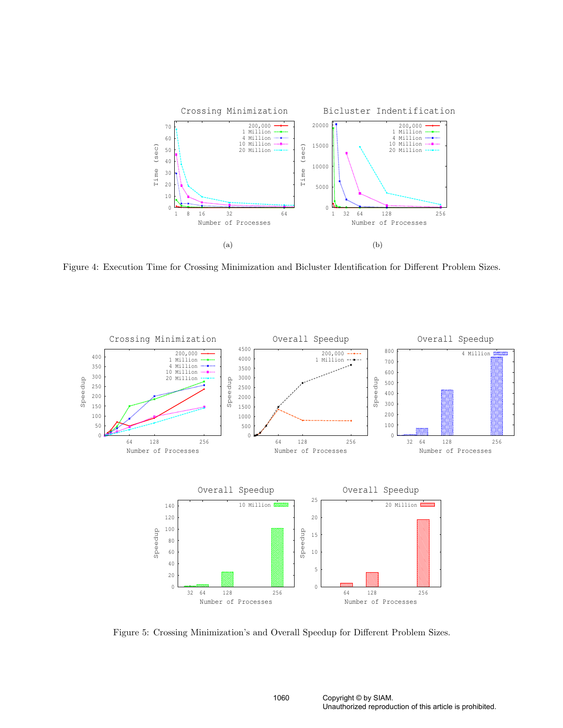

Figure 4: Execution Time for Crossing Minimization and Bicluster Identification for Different Problem Sizes.



Figure 5: Crossing Minimization's and Overall Speedup for Different Problem Sizes.